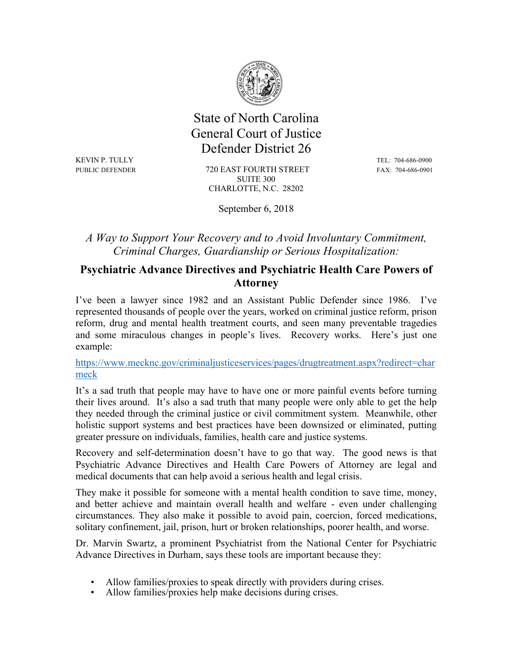

 State of North Carolina General Court of Justice Defender District 26

KEVIN P. TULLY TEL: 704-686-0900

PUBLIC DEFENDER 720 EAST FOURTH STREET FAX: 704-686-0901 SUITE 300 CHARLOTTE, N.C. 28202

September 6, 2018

*A Way to Support Your Recovery and to Avoid Involuntary Commitment, Criminal Charges, Guardianship or Serious Hospitalization:*

## **Psychiatric Advance Directives and Psychiatric Health Care Powers of Attorney**

I've been a lawyer since 1982 and an Assistant Public Defender since 1986. I've represented thousands of people over the years, worked on criminal justice reform, prison reform, drug and mental health treatment courts, and seen many preventable tragedies and some miraculous changes in people's lives. Recovery works. Here's just one example:

https://www.mecknc.gov/criminaljusticeservices/pages/drugtreatment.aspx?redirect=char meck

It's a sad truth that people may have to have one or more painful events before turning their lives around. It's also a sad truth that many people were only able to get the help they needed through the criminal justice or civil commitment system. Meanwhile, other holistic support systems and best practices have been downsized or eliminated, putting greater pressure on individuals, families, health care and justice systems.

Recovery and self-determination doesn't have to go that way. The good news is that Psychiatric Advance Directives and Health Care Powers of Attorney are legal and medical documents that can help avoid a serious health and legal crisis.

They make it possible for someone with a mental health condition to save time, money, and better achieve and maintain overall health and welfare - even under challenging circumstances. They also make it possible to avoid pain, coercion, forced medications, solitary confinement, jail, prison, hurt or broken relationships, poorer health, and worse.

Dr. Marvin Swartz, a prominent Psychiatrist from the National Center for Psychiatric Advance Directives in Durham, says these tools are important because they:

- Allow families/proxies to speak directly with providers during crises.
- Allow families/proxies help make decisions during crises.